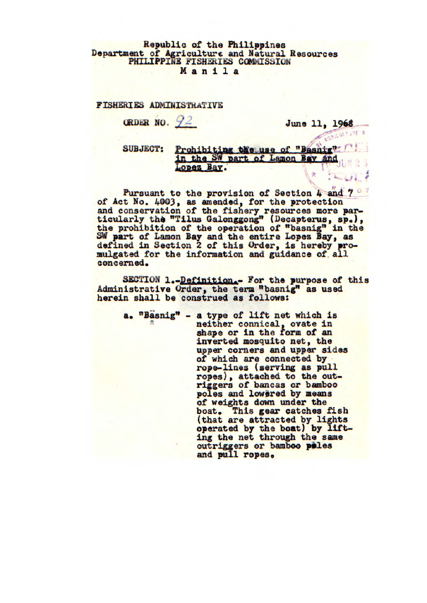## **Republic of the Philippines Department of Agriculture and Natural Resources PHILIPPINE FISHERIES COMMISSION Manila**

## **FISHERIES ADMINISTRATIVE**  RIES ADMINISTRATIVE<br>ORDER NO. 22 **June 11, 1968**

SUBJECT: Prohibiting the use of "Basnig" in the SW part of Lamon Bay and Lopez Bay.

**Pursuant to the provision of Section 4 and** *7*  **of Act No. 4003, as amended, for the protection and conservation of the fishery resources more par**ticularly the "Tilus Galonggong" (Decapterus, sp.), **the prohibition of the operation of "basnig" in the SW part of Lamon Bay and the entire Lopez Bay, as defined in Section 2 of this Order, is hereby promulgated for the information and guidance of all concerned.** 

**SECTION l..-Definition.- For the purpose of this Administrative Order, the term "basnig" as used herein shall be construed as follows:** 

**a. "Basnig" - a type of lift net which is**  neither connical, ovate in shape or in the form of an **inverted mosquito net, the upper corners and upper sides of which are connected by rope-lines (serving as pull ropes), attached to the outriggers of bancas or bamboo**  poles and lowered by means **of weights down under the boat. This gear catches fish (that are attracted by lights operated by the boat) by lifting the net through the same outriggers or bamboo piles and pull ropes.**